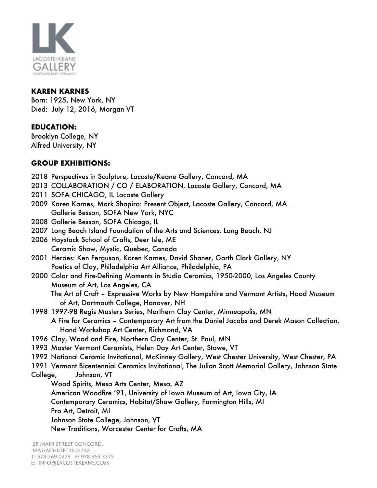

#### **KAREN KARNES**

Born: 1925, New York, NY Died: July 12, 2016, Morgan VT

## **EDUCATION:**

Brooklyn College, NY Alfred University, NY

### **GROUP EXHIBITIONS:**

- 2018 Perspectives in Sculpture, Lacoste/Keane Gallery, Concord, MA
- 2013 COLLABORATION / CO / ELABORATION, Lacoste Gallery, Concord, MA
- 2011 SOFA CHICAGO, IL Lacoste Gallery
- 2009 Karen Karnes, Mark Shapiro: Present Object, Lacoste Gallery, Concord, MA Gallerie Besson, SOFA New York, NYC
- 2008 Gallerie Besson, SOFA Chicago, IL
- 2007 Long Beach Island Foundation of the Arts and Sciences, Long Beach, NJ
- 2006 Haystack School of Crafts, Deer Isle, ME Ceramic Show, Mystic, Quebec, Canada
- 2001 Heroes: Ken Ferguson, Karen Karnes, David Shaner, Garth Clark Gallery, NY Poetics of Clay, Philadelphia Art Alliance, Philadelphia, PA
- 2000 Color and Fire-Defining Moments in Studio Ceramics, 1950-2000, Los Angeles County Museum of Art, Los Angeles, CA The Art of Craft – Expressive Works by New Hampshire and Vermont Artists, Hood Museum
- of Art, Dartmouth College, Hanover, NH 1998 1997-98 Regis Masters Series, Northern Clay Center, Minneapolis, MN A Fire for Ceramics – Contemporary Art from the Daniel Jacobs and Derek Mason Collection,
	- Hand Workshop Art Center, Richmond, VA
- 1996 Clay, Wood and Fire, Northern Clay Center, St. Paul, MN
- 1993 Master Vermont Ceramists, Helen Day Art Center, Stowe, VT
- 1992 National Ceramic Invitational, McKinney Gallery, West Chester University, West Chester, PA
- 1991 Vermont Bicentennial Ceramics Invitational, The Julian Scott Memorial Gallery, Johnson State College, Johnson, VT

Wood Spirits, Mesa Arts Center, Mesa, AZ American Woodfire '91, University of Iowa Museum of Art, Iowa City, IA Contemporary Ceramics, Habitat/Shaw Gallery, Farmington Hills, MI Pro Art, Detroit, MI Johnson State College, Johnson, VT New Traditions, Worcester Center for Crafts, MA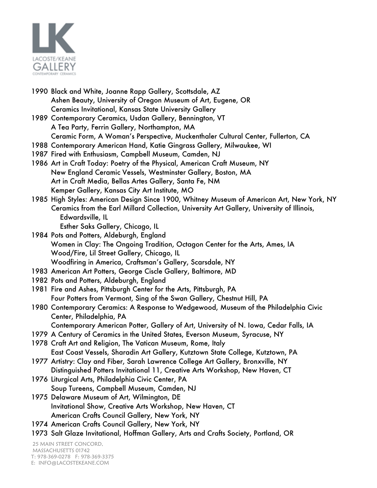

- 1990 Black and White, Joanne Rapp Gallery, Scottsdale, AZ Ashen Beauty, University of Oregon Museum of Art, Eugene, OR Ceramics Invitational, Kansas State University Gallery
- 1989 Contemporary Ceramics, Usdan Gallery, Bennington, VT A Tea Party, Ferrin Gallery, Northampton, MA Ceramic Form, A Woman's Perspective, Muckenthaler Cultural Center, Fullerton, CA
- 1988 Contemporary American Hand, Katie Gingrass Gallery, Milwaukee, WI
- 1987 Fired with Enthusiasm, Campbell Museum, Camden, NJ
- 1986 Art in Craft Today: Poetry of the Physical, American Craft Museum, NY New England Ceramic Vessels, Westminster Gallery, Boston, MA Art in Craft Media, Bellas Artes Gallery, Santa Fe, NM Kemper Gallery, Kansas City Art Institute, MO
- 1985 High Styles: American Design Since 1900, Whitney Museum of American Art, New York, NY Ceramics from the Earl Millard Collection, University Art Gallery, University of Illinois, Edwardsville, IL Esther Saks Gallery, Chicago, IL
- 1984 Pots and Potters, Aldeburgh, England Women in Clay: The Ongoing Tradition, Octagon Center for the Arts, Ames, IA Wood/Fire, Lil Street Gallery, Chicago, IL Woodfiring in America, Craftsman's Gallery, Scarsdale, NY
- 1983 American Art Potters, George Ciscle Gallery, Baltimore, MD
- 1982 Pots and Potters, Aldeburgh, England
- 1981 Fire and Ashes, Pittsburgh Center for the Arts, Pittsburgh, PA Four Potters from Vermont, Sing of the Swan Gallery, Chestnut Hill, PA
- 1980 Contemporary Ceramics: A Response to Wedgewood, Museum of the Philadelphia Civic Center, Philadelphia, PA
	- Contemporary American Potter, Gallery of Art, University of N. Iowa, Cedar Falls, IA
- 1979 A Century of Ceramics in the United States, Everson Museum, Syracuse, NY 1978 Craft Art and Religion, The Vatican Museum, Rome, Italy
- East Coast Vessels, Sharadin Art Gallery, Kutztown State College, Kutztown, PA
- 1977 Artistry: Clay and Fiber, Sarah Lawrence College Art Gallery, Bronxville, NY Distinguished Potters Invitational 11, Creative Arts Workshop, New Haven, CT
- 1976 Liturgical Arts, Philadelphia Civic Center, PA Soup Tureens, Campbell Museum, Camden, NJ
- 1975 Delaware Museum of Art, Wilmington, DE Invitational Show, Creative Arts Workshop, New Haven, CT American Crafts Council Gallery, New York, NY
- 1974 American Crafts Council Gallery, New York, NY
- 1973 Salt Glaze Invitational, Hoffman Gallery, Arts and Crafts Society, Portland, OR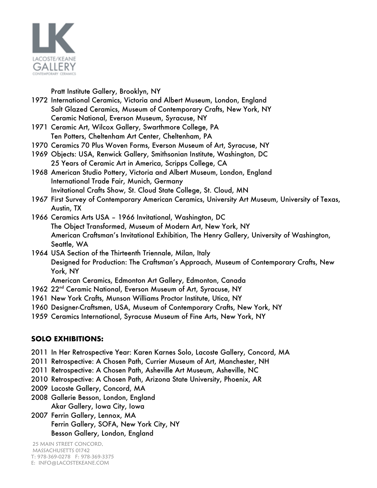

Pratt Institute Gallery, Brooklyn, NY

- 1972 International Ceramics, Victoria and Albert Museum, London, England Salt Glazed Ceramics, Museum of Contemporary Crafts, New York, NY Ceramic National, Everson Museum, Syracuse, NY
- 1971 Ceramic Art, Wilcox Gallery, Swarthmore College, PA Ten Potters, Cheltenham Art Center, Cheltenham, PA
- 1970 Ceramics 70 Plus Woven Forms, Everson Museum of Art, Syracuse, NY
- 1969 Objects: USA, Renwick Gallery, Smithsonian Institute, Washington, DC 25 Years of Ceramic Art in America, Scripps College, CA
- 1968 American Studio Pottery, Victoria and Albert Museum, London, England International Trade Fair, Munich, Germany Invitational Crafts Show, St. Cloud State College, St. Cloud, MN
- 1967 First Survey of Contemporary American Ceramics, University Art Museum, University of Texas, Austin, TX
- 1966 Ceramics Arts USA 1966 Invitational, Washington, DC The Object Transformed, Museum of Modern Art, New York, NY American Craftsman's Invitational Exhibition, The Henry Gallery, University of Washington, Seattle, WA
- 1964 USA Section of the Thirteenth Triennale, Milan, Italy Designed for Production: The Craftsman's Approach, Museum of Contemporary Crafts, New York, NY

American Ceramics, Edmonton Art Gallery, Edmonton, Canada

- 1962 22<sup>nd</sup> Ceramic National, Everson Museum of Art, Syracuse, NY
- 1961 New York Crafts, Munson Williams Proctor Institute, Utica, NY
- 1960 Designer-Craftsmen, USA, Museum of Contemporary Crafts, New York, NY
- 1959 Ceramics International, Syracuse Museum of Fine Arts, New York, NY

# **SOLO EXHIBITIONS:**

- 2011 In Her Retrospective Year: Karen Karnes Solo, Lacoste Gallery, Concord, MA
- 2011 Retrospective: A Chosen Path, Currier Museum of Art, Manchester, NH
- 2011 Retrospective: A Chosen Path, Asheville Art Museum, Asheville, NC
- 2010 Retrospective: A Chosen Path, Arizona State University, Phoenix, AR
- 2009 Lacoste Gallery, Concord, MA
- 2008 Gallerie Besson, London, England Akar Gallery, Iowa City, Iowa
- 2007 Ferrin Gallery, Lennox, MA Ferrin Gallery, SOFA, New York City, NY Besson Gallery, London, England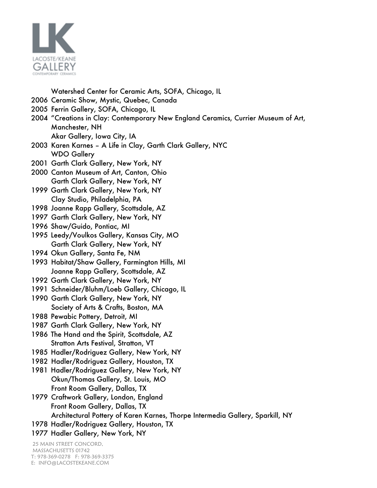

Watershed Center for Ceramic Arts, SOFA, Chicago, IL

- 2006 Ceramic Show, Mystic, Quebec, Canada
- 2005 Ferrin Gallery, SOFA, Chicago, IL
- 2004 "Creations in Clay: Contemporary New England Ceramics, Currier Museum of Art, Manchester, NH Akar Gallery, Iowa City, IA
- 2003 Karen Karnes A Life in Clay, Garth Clark Gallery, NYC WDO Gallery
- 2001 Garth Clark Gallery, New York, NY
- 2000 Canton Museum of Art, Canton, Ohio Garth Clark Gallery, New York, NY
- 1999 Garth Clark Gallery, New York, NY Clay Studio, Philadelphia, PA
- 1998 Joanne Rapp Gallery, Scottsdale, AZ
- 1997 Garth Clark Gallery, New York, NY
- 1996 Shaw/Guido, Pontiac, MI
- 1995 Leedy/Voulkos Gallery, Kansas City, MO Garth Clark Gallery, New York, NY
- 1994 Okun Gallery, Santa Fe, NM
- 1993 Habitat/Shaw Gallery, Farmington Hills, MI Joanne Rapp Gallery, Scottsdale, AZ
- 1992 Garth Clark Gallery, New York, NY
- 1991 Schneider/Bluhm/Loeb Gallery, Chicago, IL
- 1990 Garth Clark Gallery, New York, NY Society of Arts & Crafts, Boston, MA
- 1988 Pewabic Pottery, Detroit, MI
- 1987 Garth Clark Gallery, New York, NY
- 1986 The Hand and the Spirit, Scottsdale, AZ Stratton Arts Festival, Stratton, VT
- 1985 Hadler/Rodriguez Gallery, New York, NY
- 1982 Hadler/Rodriguez Gallery, Houston, TX
- 1981 Hadler/Rodriguez Gallery, New York, NY Okun/Thomas Gallery, St. Louis, MO Front Room Gallery, Dallas, TX
- 1979 Craftwork Gallery, London, England Front Room Gallery, Dallas, TX Architectural Pottery of Karen Karnes, Thorpe Intermedia Gallery, Sparkill, NY
- 
- 1978 Hadler/Rodriguez Gallery, Houston, TX
- 1977 Hadler Gallery, New York, NY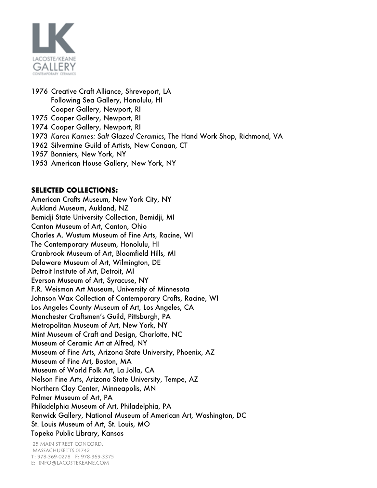

- 1976 Creative Craft Alliance, Shreveport, LA Following Sea Gallery, Honolulu, HI Cooper Gallery, Newport, RI
- 1975 Cooper Gallery, Newport, RI
- 1974 Cooper Gallery, Newport, RI
- 1973 *Karen Karnes: Salt Glazed Ceramics*, The Hand Work Shop, Richmond, VA
- 1962 Silvermine Guild of Artists, New Canaan, CT
- 1957 Bonniers, New York, NY
- 1953 American House Gallery, New York, NY

#### **SELECTED COLLECTIONS:**

American Crafts Museum, New York City, NY Aukland Museum, Aukland, NZ Bemidji State University Collection, Bemidji, MI Canton Museum of Art, Canton, Ohio Charles A. Wustum Museum of Fine Arts, Racine, WI The Contemporary Museum, Honolulu, HI Cranbrook Museum of Art, Bloomfield Hills, MI Delaware Museum of Art, Wilmington, DE Detroit Institute of Art, Detroit, MI Everson Museum of Art, Syracuse, NY F.R. Weisman Art Museum, University of Minnesota Johnson Wax Collection of Contemporary Crafts, Racine, WI Los Angeles County Museum of Art, Los Angeles, CA Manchester Craftsmen's Guild, Pittsburgh, PA Metropolitan Museum of Art, New York, NY Mint Museum of Craft and Design, Charlotte, NC Museum of Ceramic Art at Alfred, NY Museum of Fine Arts, Arizona State University, Phoenix, AZ Museum of Fine Art, Boston, MA Museum of World Folk Art, La Jolla, CA Nelson Fine Arts, Arizona State University, Tempe, AZ Northern Clay Center, Minneapolis, MN Palmer Museum of Art, PA Philadelphia Museum of Art, Philadelphia, PA Renwick Gallery, National Museum of American Art, Washington, DC St. Louis Museum of Art, St. Louis, MO Topeka Public Library, Kansas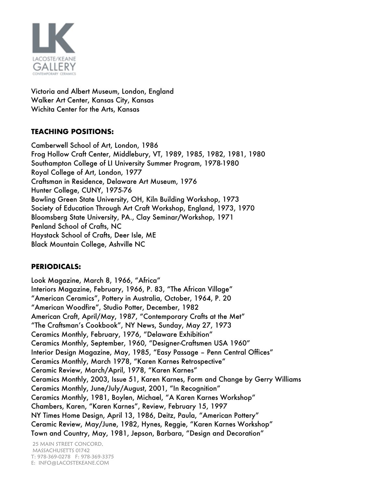

Victoria and Albert Museum, London, England Walker Art Center, Kansas City, Kansas Wichita Center for the Arts, Kansas

### **TEACHING POSITIONS:**

Camberwell School of Art, London, 1986 Frog Hollow Craft Center, Middlebury, VT, 1989, 1985, 1982, 1981, 1980 Southampton College of LI University Summer Program, 1978-1980 Royal College of Art, London, 1977 Craftsman in Residence, Delaware Art Museum, 1976 Hunter College, CUNY, 1975-76 Bowling Green State University, OH, Kiln Building Workshop, 1973 Society of Education Through Art Craft Workshop, England, 1973, 1970 Bloomsberg State University, PA., Clay Seminar/Workshop, 1971 Penland School of Crafts, NC Haystack School of Crafts, Deer Isle, ME Black Mountain College, Ashville NC

# **PERIODICALS:**

Look Magazine, March 8, 1966, "Africa" Interiors Magazine, February, 1966, P. 83, "The African Village" "American Ceramics", Pottery in Australia, October, 1964, P. 20 "American Woodfire", Studio Potter, December, 1982 American Craft, April/May, 1987, "Contemporary Crafts at the Met" "The Craftsman's Cookbook", NY News, Sunday, May 27, 1973 Ceramics Monthly, February, 1976, "Delaware Exhibition" Ceramics Monthly, September, 1960, "Designer-Craftsmen USA 1960" Interior Design Magazine, May, 1985, "Easy Passage – Penn Central Offices" Ceramics Monthly, March 1978, "Karen Karnes Retrospective" Ceramic Review, March/April, 1978, "Karen Karnes" Ceramics Monthly, 2003, Issue 51, Karen Karnes, Form and Change by Gerry Williams Ceramics Monthly, June/July/August, 2001, "In Recognition" Ceramics Monthly, 1981, Boylen, Michael, "A Karen Karnes Workshop" Chambers, Karen, "Karen Karnes", Review, February 15, 1997 NY Times Home Design, April 13, 1986, Deitz, Paula, "American Pottery" Ceramic Review, May/June, 1982, Hynes, Reggie, "Karen Karnes Workshop" Town and Country, May, 1981, Jepson, Barbara, "Design and Decoration"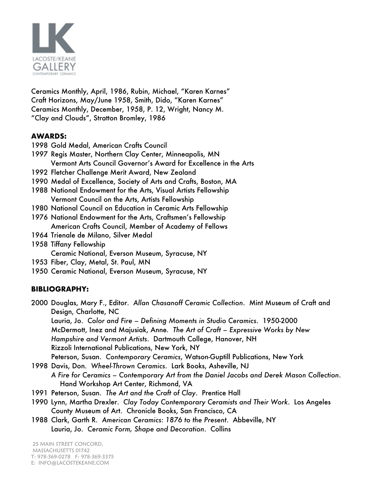

Ceramics Monthly, April, 1986, Rubin, Michael, "Karen Karnes" Craft Horizons, May/June 1958, Smith, Dido, "Karen Karnes" Ceramics Monthly, December, 1958, P. 12, Wright, Nancy M. "Clay and Clouds", Stratton Bromley, 1986

### **AWARDS:**

- 1998 Gold Medal, American Crafts Council
- 1997 Regis Master, Northern Clay Center, Minneapolis, MN Vermont Arts Council Governor's Award for Excellence in the Arts
- 1992 Fletcher Challenge Merit Award, New Zealand
- 1990 Medal of Excellence, Society of Arts and Crafts, Boston, MA
- 1988 National Endowment for the Arts, Visual Artists Fellowship Vermont Council on the Arts, Artists Fellowship
- 1980 National Council on Education in Ceramic Arts Fellowship
- 1976 National Endowment for the Arts, Craftsmen's Fellowship American Crafts Council, Member of Academy of Fellows
- 1964 Trienale de Milano, Silver Medal
- 1958 Tiffany Fellowship
	- Ceramic National, Everson Museum, Syracuse, NY
- 1953 Fiber, Clay, Metal, St. Paul, MN
- 1950 Ceramic National, Everson Museum, Syracuse, NY

### **BIBLIOGRAPHY:**

2000 Douglas, Mary F., Editor. *Allan Chasanoff Ceramic Collection*. Mint Museum of Craft and Design, Charlotte, NC

Lauria, Jo. *Color and Fire – Defining Moments in Studio Ceramics*. 1950-2000 McDermott, Inez and Majusiak, Anne*. The Art of Craft – Expressive Works by New Hampshire and Vermont Artists*. Dartmouth College, Hanover, NH Rizzoli International Publications, New York, NY

Peterson, Susan. *Contemporary Ceramics*, Watson-Guptill Publications, New York

- 1998 Davis, Don. *Wheel-Thrown Ceramics*. Lark Books, Asheville, NJ *A Fire for Ceramics – Contemporary Art from the Daniel Jacobs and Derek Mason Collection*. Hand Workshop Art Center, Richmond, VA
- 1991 Peterson, Susan. *The Art and the Craft of Clay*. Prentice Hall
- 1990 Lynn, Martha Drexler. *Clay Today Contemporary Ceramists and Their Work*. Los Angeles County Museum of Art. Chronicle Books, San Francisco, CA
- 1988 Clark, Garth R. *American Ceramics: 1876 to the Present*. Abbeville, NY Lauria, Jo. *Ceramic Form, Shape and Decoration*. Collins